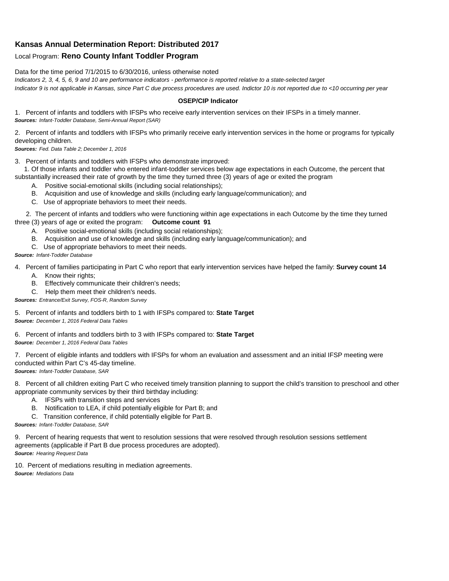## **Kansas Annual Determination Report: Distributed 2017**

## Local Program: **Reno County Infant Toddler Program**

Data for the time period 7/1/2015 to 6/30/2016, unless otherwise noted

*Indicators 2, 3, 4, 5, 6, 9 and 10 are performance indicators - performance is reported relative to a state-selected target Indicator 9 is not applicable in Kansas, since Part C due process procedures are used. Indictor 10 is not reported due to <10 occurring per year*

## **OSEP/CIP Indicator**

1. Percent of infants and toddlers with IFSPs who receive early intervention services on their IFSPs in a timely manner. *Sources: Infant-Toddler Database, Semi-Annual Report (SAR)* 

2. Percent of infants and toddlers with IFSPs who primarily receive early intervention services in the home or programs for typically developing children.

*Sources: Fed. Data Table 2; December 1, 2016*

3. Percent of infants and toddlers with IFSPs who demonstrate improved:

 1. Of those infants and toddler who entered infant-toddler services below age expectations in each Outcome, the percent that substantially increased their rate of growth by the time they turned three (3) years of age or exited the program

- A. Positive social-emotional skills (including social relationships);
- B. Acquisition and use of knowledge and skills (including early language/communication); and
- C. Use of appropriate behaviors to meet their needs.

 2. The percent of infants and toddlers who were functioning within age expectations in each Outcome by the time they turned three (3) years of age or exited the program: **Outcome count 91**

- A. Positive social-emotional skills (including social relationships);
- B. Acquisition and use of knowledge and skills (including early language/communication); and
- C. Use of appropriate behaviors to meet their needs.

## *Source: Infant-Toddler Database*

4. Percent of families participating in Part C who report that early intervention services have helped the family: **Survey count 14**

- A. Know their rights;
- B. Effectively communicate their children's needs;
- C. Help them meet their children's needs.
- *Sources: Entrance/Exit Survey, FOS-R, Random Survey*

5. Percent of infants and toddlers birth to 1 with IFSPs compared to: **State Target** *Source: December 1, 2016 Federal Data Tables*

6. Percent of infants and toddlers birth to 3 with IFSPs compared to: **State Target** *Source: December 1, 2016 Federal Data Tables*

7. Percent of eligible infants and toddlers with IFSPs for whom an evaluation and assessment and an initial IFSP meeting were conducted within Part C's 45-day timeline.

*Sources: Infant-Toddler Database, SAR*

8. Percent of all children exiting Part C who received timely transition planning to support the child's transition to preschool and other appropriate community services by their third birthday including:

- A. IFSPs with transition steps and services
- B. Notification to LEA, if child potentially eligible for Part B; and
- C. Transition conference, if child potentially eligible for Part B.

*Sources: Infant-Toddler Database, SAR*

9. Percent of hearing requests that went to resolution sessions that were resolved through resolution sessions settlement agreements (applicable if Part B due process procedures are adopted). *Source: Hearing Request Data*

10. Percent of mediations resulting in mediation agreements. *Source: Mediations Data*